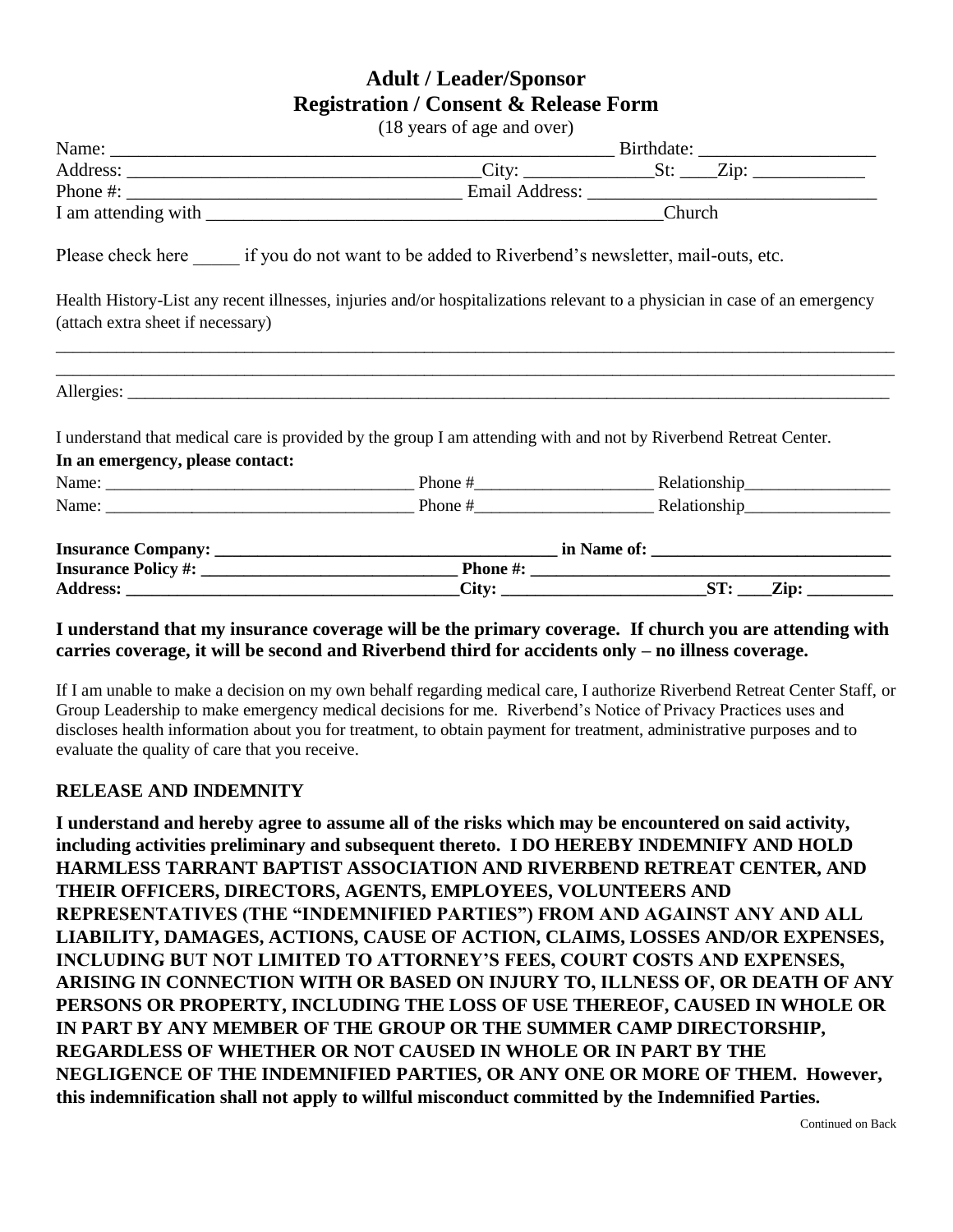## **Adult / Leader/Sponsor Registration / Consent & Release Form**

|                                   | (18 years of age and over)                                                                                       |                                                                                                                            |
|-----------------------------------|------------------------------------------------------------------------------------------------------------------|----------------------------------------------------------------------------------------------------------------------------|
|                                   |                                                                                                                  |                                                                                                                            |
|                                   |                                                                                                                  |                                                                                                                            |
|                                   |                                                                                                                  |                                                                                                                            |
|                                   |                                                                                                                  |                                                                                                                            |
|                                   | Please check here if you do not want to be added to Riverbend's newsletter, mail-outs, etc.                      |                                                                                                                            |
| (attach extra sheet if necessary) |                                                                                                                  | Health History-List any recent illnesses, injuries and/or hospitalizations relevant to a physician in case of an emergency |
|                                   |                                                                                                                  |                                                                                                                            |
|                                   | I understand that medical care is provided by the group I am attending with and not by Riverbend Retreat Center. |                                                                                                                            |
| In an emergency, please contact:  |                                                                                                                  |                                                                                                                            |
|                                   |                                                                                                                  |                                                                                                                            |
|                                   |                                                                                                                  |                                                                                                                            |
|                                   |                                                                                                                  |                                                                                                                            |
|                                   |                                                                                                                  |                                                                                                                            |
|                                   |                                                                                                                  |                                                                                                                            |

## **I understand that my insurance coverage will be the primary coverage. If church you are attending with carries coverage, it will be second and Riverbend third for accidents only – no illness coverage.**

If I am unable to make a decision on my own behalf regarding medical care, I authorize Riverbend Retreat Center Staff, or Group Leadership to make emergency medical decisions for me. Riverbend's Notice of Privacy Practices uses and discloses health information about you for treatment, to obtain payment for treatment, administrative purposes and to evaluate the quality of care that you receive.

## **RELEASE AND INDEMNITY**

**I understand and hereby agree to assume all of the risks which may be encountered on said activity, including activities preliminary and subsequent thereto. I DO HEREBY INDEMNIFY AND HOLD HARMLESS TARRANT BAPTIST ASSOCIATION AND RIVERBEND RETREAT CENTER, AND THEIR OFFICERS, DIRECTORS, AGENTS, EMPLOYEES, VOLUNTEERS AND REPRESENTATIVES (THE "INDEMNIFIED PARTIES") FROM AND AGAINST ANY AND ALL LIABILITY, DAMAGES, ACTIONS, CAUSE OF ACTION, CLAIMS, LOSSES AND/OR EXPENSES, INCLUDING BUT NOT LIMITED TO ATTORNEY'S FEES, COURT COSTS AND EXPENSES, ARISING IN CONNECTION WITH OR BASED ON INJURY TO, ILLNESS OF, OR DEATH OF ANY PERSONS OR PROPERTY, INCLUDING THE LOSS OF USE THEREOF, CAUSED IN WHOLE OR IN PART BY ANY MEMBER OF THE GROUP OR THE SUMMER CAMP DIRECTORSHIP, REGARDLESS OF WHETHER OR NOT CAUSED IN WHOLE OR IN PART BY THE NEGLIGENCE OF THE INDEMNIFIED PARTIES, OR ANY ONE OR MORE OF THEM. However, this indemnification shall not apply to willful misconduct committed by the Indemnified Parties.**